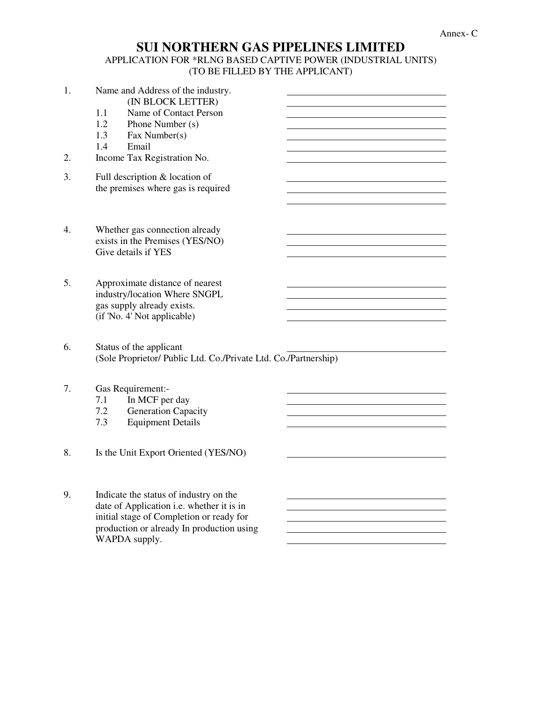## **SUI NORTHERN GAS PIPELINES LIMITED**  APPLICATION FOR \*RLNG BASED CAPTIVE POWER (INDUSTRIAL UNITS)

## (TO BE FILLED BY THE APPLICANT)

| 1.<br>2. | Name and Address of the industry.<br>(IN BLOCK LETTER)<br>1.1<br>Name of Contact Person<br>1.2<br>Phone Number (s)<br>1.3<br>Fax Number(s)<br>1.4<br>Email<br>Income Tax Registration No. |
|----------|-------------------------------------------------------------------------------------------------------------------------------------------------------------------------------------------|
| 3.       | Full description & location of<br>the premises where gas is required                                                                                                                      |
| 4.       | Whether gas connection already<br>exists in the Premises (YES/NO)<br>Give details if YES                                                                                                  |
| 5.       | Approximate distance of nearest<br>industry/location Where SNGPL<br>gas supply already exists.<br>(if 'No. 4' Not applicable)                                                             |
| 6.       | Status of the applicant<br>(Sole Proprietor/ Public Ltd. Co./Private Ltd. Co./Partnership)                                                                                                |
| 7.       | Gas Requirement:-<br>In MCF per day<br>7.1<br>7.2<br><b>Generation Capacity</b><br><b>Equipment Details</b><br>7.3                                                                        |
| 8.       | Is the Unit Export Oriented (YES/NO)                                                                                                                                                      |
| 9.       | Indicate the status of industry on the<br>date of Application i.e. whether it is in<br>initial stage of Completion or ready for                                                           |

production or already In production using

WAPDA supply.